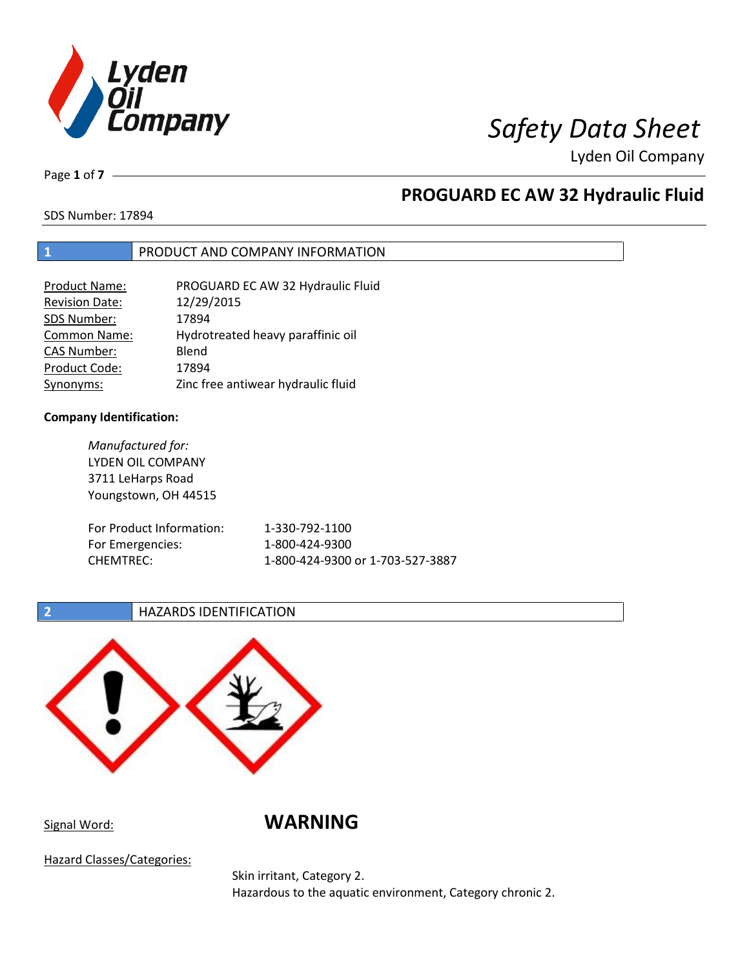

Page **1** of **7**

# **PROGUARD EC AW 32 Hydraulic Fluid**

SDS Number: 17894

### **1** PRODUCT AND COMPANY INFORMATION

| Product Name:         | PROGUARD EC AW 32 Hydraulic Fluid  |
|-----------------------|------------------------------------|
| <b>Revision Date:</b> | 12/29/2015                         |
| SDS Number:           | 17894                              |
| Common Name:          | Hydrotreated heavy paraffinic oil  |
| <b>CAS Number:</b>    | Blend                              |
| Product Code:         | 17894                              |
| Synonyms:             | Zinc free antiwear hydraulic fluid |

### **Company Identification:**

*Manufactured for:* LYDEN OIL COMPANY 3711 LeHarps Road Youngstown, OH 44515 For Product Information: 1-330-792-1100 For Emergencies: 1-800-424-9300 CHEMTREC: 1-800-424-9300 or 1-703-527-3887

## **2 HAZARDS IDENTIFICATION**



Signal Word: **WARNING**

Hazard Classes/Categories:

Skin irritant, Category 2. Hazardous to the aquatic environment, Category chronic 2.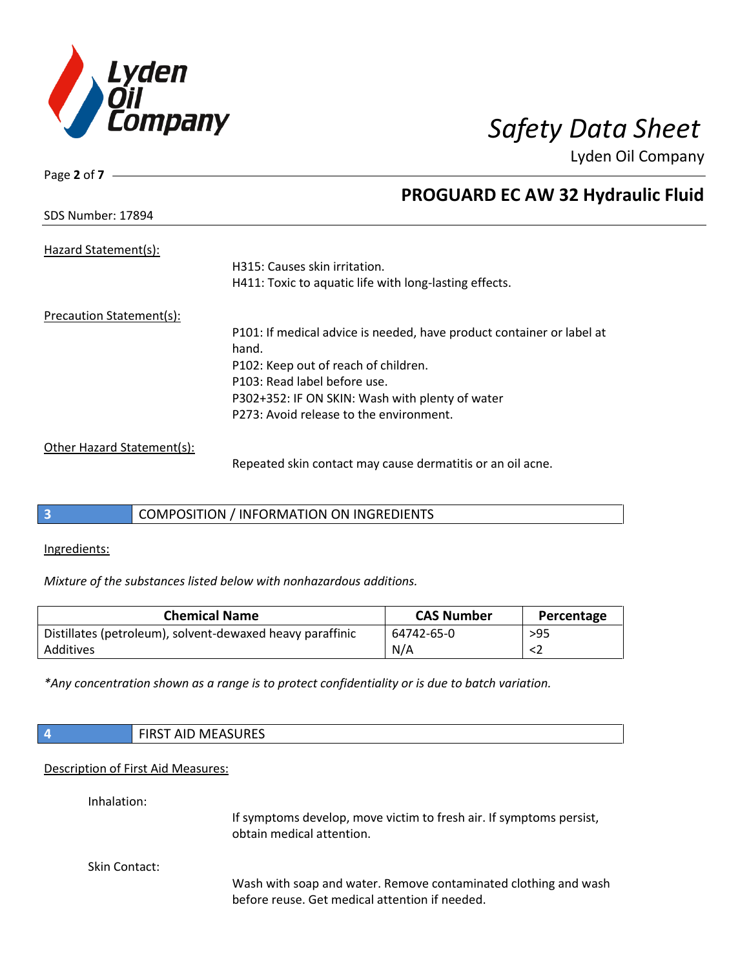

Page **2** of **7**

# **PROGUARD EC AW 32 Hydraulic Fluid**

| SDS Number: 17894 |  |
|-------------------|--|
|                   |  |

| Hazard Statement(s):       |                                                                       |
|----------------------------|-----------------------------------------------------------------------|
|                            | H315: Causes skin irritation.                                         |
|                            | H411: Toxic to aquatic life with long-lasting effects.                |
| Precaution Statement(s):   |                                                                       |
|                            | P101: If medical advice is needed, have product container or label at |
|                            | hand.                                                                 |
|                            | P102: Keep out of reach of children.                                  |
|                            | P103: Read label before use.                                          |
|                            | P302+352: IF ON SKIN: Wash with plenty of water                       |
|                            | P273: Avoid release to the environment.                               |
| Other Hazard Statement(s): |                                                                       |
|                            | Denasted slip september 2011 seuse devas titis en spellense           |

Repeated skin contact may cause dermatitis or an oil acne.

## **3** COMPOSITION / INFORMATION ON INGREDIENTS

Ingredients:

*Mixture of the substances listed below with nonhazardous additions.*

| <b>Chemical Name</b>                                      | <b>CAS Number</b> | Percentage |
|-----------------------------------------------------------|-------------------|------------|
| Distillates (petroleum), solvent-dewaxed heavy paraffinic | 64742-65-0        | >95        |
| Additives                                                 | N/A               |            |

*\*Any concentration shown as a range is to protect confidentiality or is due to batch variation.*

| $\overline{4}$                     | <b>FIRST AID MEASURES</b>                                                                                         |  |
|------------------------------------|-------------------------------------------------------------------------------------------------------------------|--|
| Description of First Aid Measures: |                                                                                                                   |  |
| Inhalation:                        | If symptoms develop, move victim to fresh air. If symptoms persist,<br>obtain medical attention.                  |  |
| Skin Contact:                      | Wash with soap and water. Remove contaminated clothing and wash<br>before reuse. Get medical attention if needed. |  |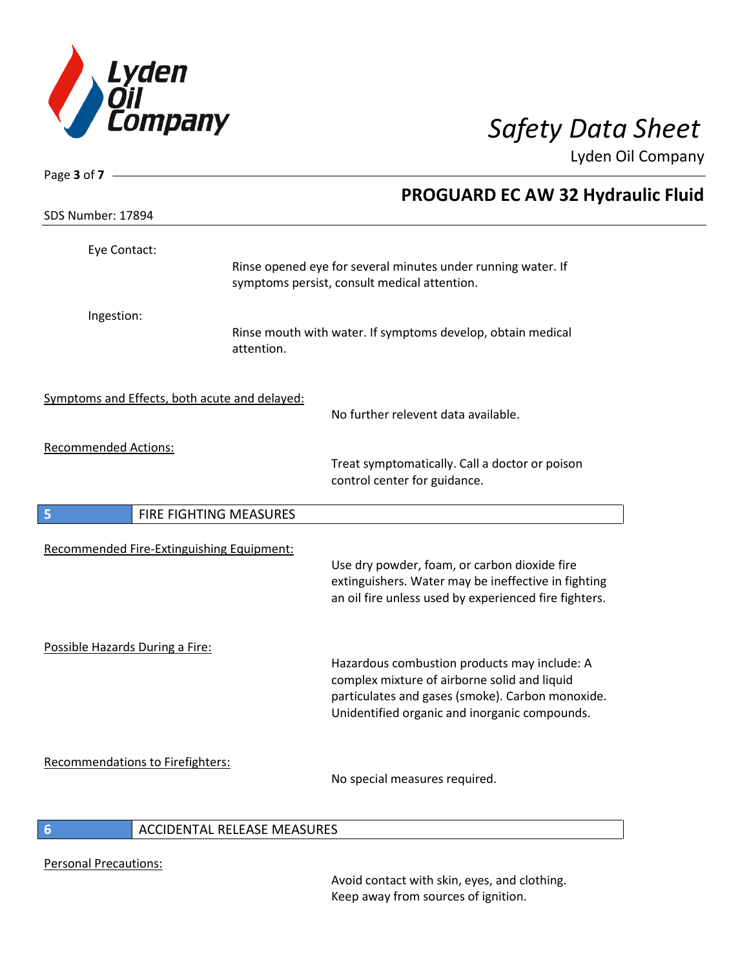

| Page 3 of $7 -$                               |                                                                                                                                                                                                   |
|-----------------------------------------------|---------------------------------------------------------------------------------------------------------------------------------------------------------------------------------------------------|
|                                               | <b>PROGUARD EC AW 32 Hydraulic Fluid</b>                                                                                                                                                          |
| SDS Number: 17894                             |                                                                                                                                                                                                   |
| Eye Contact:                                  | Rinse opened eye for several minutes under running water. If<br>symptoms persist, consult medical attention.                                                                                      |
| Ingestion:                                    | Rinse mouth with water. If symptoms develop, obtain medical<br>attention.                                                                                                                         |
| Symptoms and Effects, both acute and delayed: | No further relevent data available.                                                                                                                                                               |
| <b>Recommended Actions:</b>                   | Treat symptomatically. Call a doctor or poison<br>control center for guidance.                                                                                                                    |
| 5                                             | FIRE FIGHTING MEASURES                                                                                                                                                                            |
| Recommended Fire-Extinguishing Equipment:     | Use dry powder, foam, or carbon dioxide fire<br>extinguishers. Water may be ineffective in fighting<br>an oil fire unless used by experienced fire fighters.                                      |
| Possible Hazards During a Fire:               | Hazardous combustion products may include: A<br>complex mixture of airborne solid and liquid<br>particulates and gases (smoke). Carbon monoxide.<br>Unidentified organic and inorganic compounds. |
| <b>Recommendations to Firefighters:</b>       | No special measures required.                                                                                                                                                                     |
| 6                                             | ACCIDENTAL RELEASE MEASURES                                                                                                                                                                       |

Personal Precautions:

Avoid contact with skin, eyes, and clothing. Keep away from sources of ignition.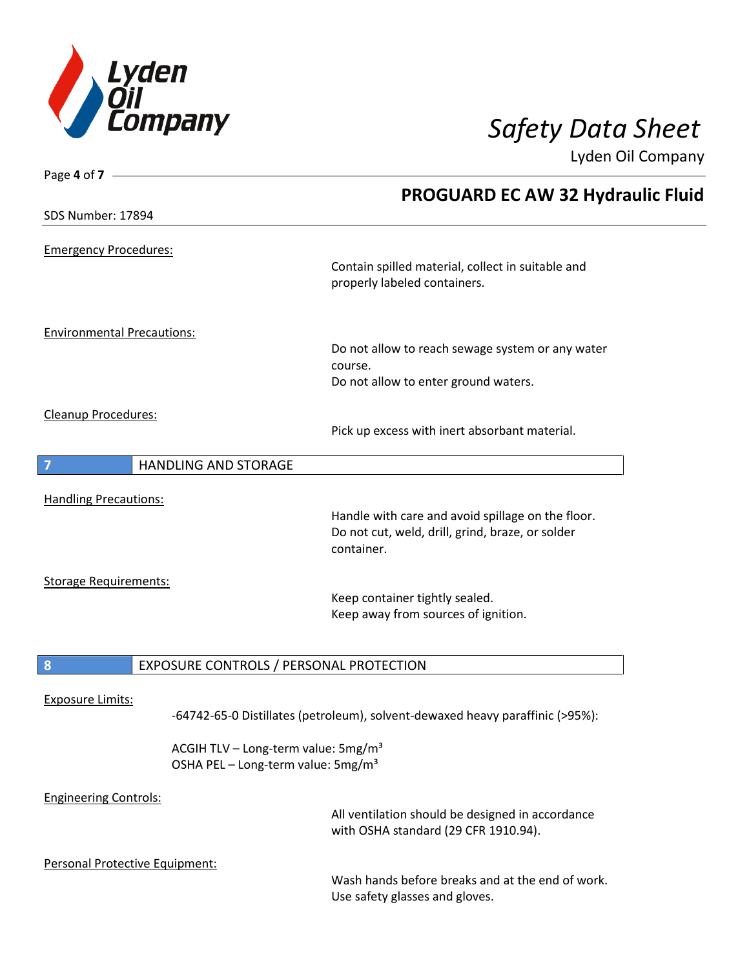

| Page 4 of $7 -$                   |                                                 |                                                                               |  |
|-----------------------------------|-------------------------------------------------|-------------------------------------------------------------------------------|--|
|                                   |                                                 | <b>PROGUARD EC AW 32 Hydraulic Fluid</b>                                      |  |
| SDS Number: 17894                 |                                                 |                                                                               |  |
| <b>Emergency Procedures:</b>      |                                                 | Contain spilled material, collect in suitable and                             |  |
|                                   |                                                 | properly labeled containers.                                                  |  |
|                                   |                                                 |                                                                               |  |
|                                   |                                                 |                                                                               |  |
| <b>Environmental Precautions:</b> |                                                 |                                                                               |  |
|                                   |                                                 | Do not allow to reach sewage system or any water                              |  |
|                                   |                                                 | course.                                                                       |  |
|                                   |                                                 | Do not allow to enter ground waters.                                          |  |
|                                   |                                                 |                                                                               |  |
| Cleanup Procedures:               |                                                 |                                                                               |  |
|                                   |                                                 | Pick up excess with inert absorbant material.                                 |  |
| $\overline{7}$                    | <b>HANDLING AND STORAGE</b>                     |                                                                               |  |
|                                   |                                                 |                                                                               |  |
| <b>Handling Precautions:</b>      |                                                 |                                                                               |  |
|                                   |                                                 | Handle with care and avoid spillage on the floor.                             |  |
|                                   |                                                 | Do not cut, weld, drill, grind, braze, or solder                              |  |
|                                   |                                                 | container.                                                                    |  |
|                                   |                                                 |                                                                               |  |
| <b>Storage Requirements:</b>      |                                                 |                                                                               |  |
|                                   |                                                 | Keep container tightly sealed.                                                |  |
|                                   |                                                 | Keep away from sources of ignition.                                           |  |
|                                   |                                                 |                                                                               |  |
|                                   |                                                 |                                                                               |  |
| $\boldsymbol{8}$                  | EXPOSURE CONTROLS / PERSONAL PROTECTION         |                                                                               |  |
|                                   |                                                 |                                                                               |  |
| <b>Exposure Limits:</b>           |                                                 |                                                                               |  |
|                                   |                                                 | -64742-65-0 Distillates (petroleum), solvent-dewaxed heavy paraffinic (>95%): |  |
|                                   |                                                 |                                                                               |  |
|                                   | ACGIH TLV - Long-term value: 5mg/m <sup>3</sup> |                                                                               |  |
|                                   | OSHA PEL - Long-term value: 5mg/m <sup>3</sup>  |                                                                               |  |
|                                   |                                                 |                                                                               |  |
| <b>Engineering Controls:</b>      |                                                 |                                                                               |  |
|                                   |                                                 | All ventilation should be designed in accordance                              |  |
|                                   |                                                 | with OSHA standard (29 CFR 1910.94).                                          |  |
|                                   |                                                 |                                                                               |  |
| Personal Protective Equipment:    |                                                 |                                                                               |  |
|                                   |                                                 | Wash hands before breaks and at the end of work.                              |  |
|                                   |                                                 | Use safety glasses and gloves.                                                |  |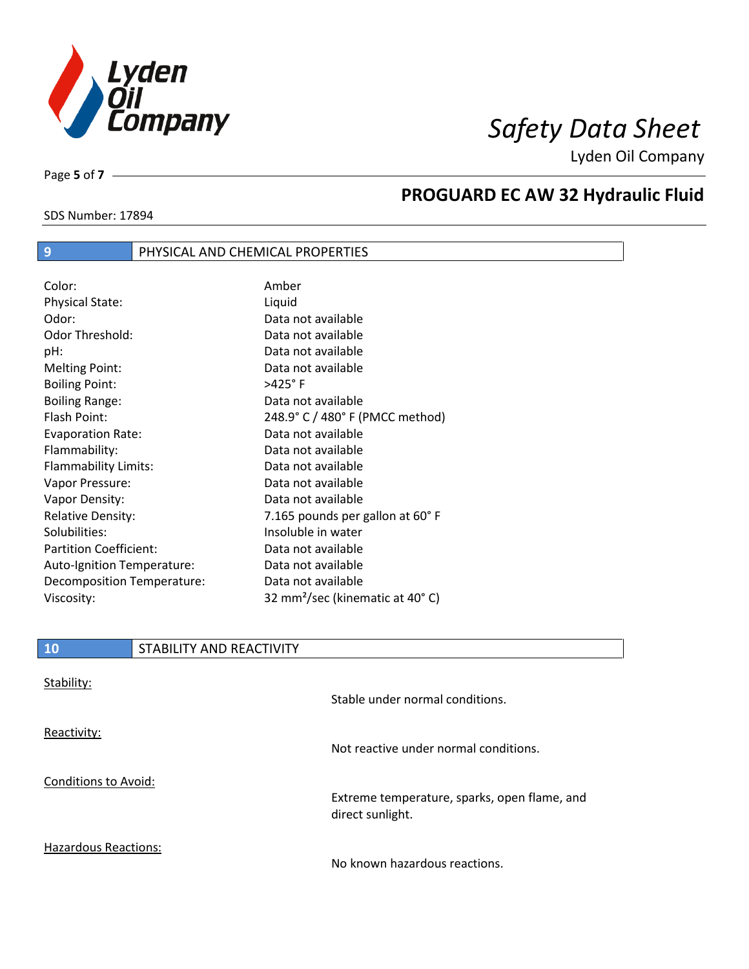

SDS Number: 17894

Page **5** of **7**

# **PROGUARD EC AW 32 Hydraulic Fluid**

## Color: Amber Physical State: Liquid Odor: Data not available Odor Threshold: Data not available pH: Data not available Melting Point: Case Communication Control Data not available Boiling Point:  $>425^{\circ}$  F Boiling Range: The Contract Contract Data not available Flash Point: 248.9° C / 480° F (PMCC method) Evaporation Rate: Data not available Flammability: Data not available Flammability Limits: Data not available

**9 PHYSICAL AND CHEMICAL PROPERTIES** 

| Data not available                          |
|---------------------------------------------|
| Data not available                          |
| 7.165 pounds per gallon at 60° F            |
| Insoluble in water                          |
| Data not available                          |
| Data not available                          |
| Data not available                          |
| 32 mm <sup>2</sup> /sec (kinematic at 40°C) |
|                                             |

| <b>10</b>                   | STABILITY AND REACTIVITY |                                                                  |
|-----------------------------|--------------------------|------------------------------------------------------------------|
| Stability:                  |                          | Stable under normal conditions.                                  |
| Reactivity:                 |                          | Not reactive under normal conditions.                            |
| <b>Conditions to Avoid:</b> |                          | Extreme temperature, sparks, open flame, and<br>direct sunlight. |
| <b>Hazardous Reactions:</b> |                          | No known hazardous reactions.                                    |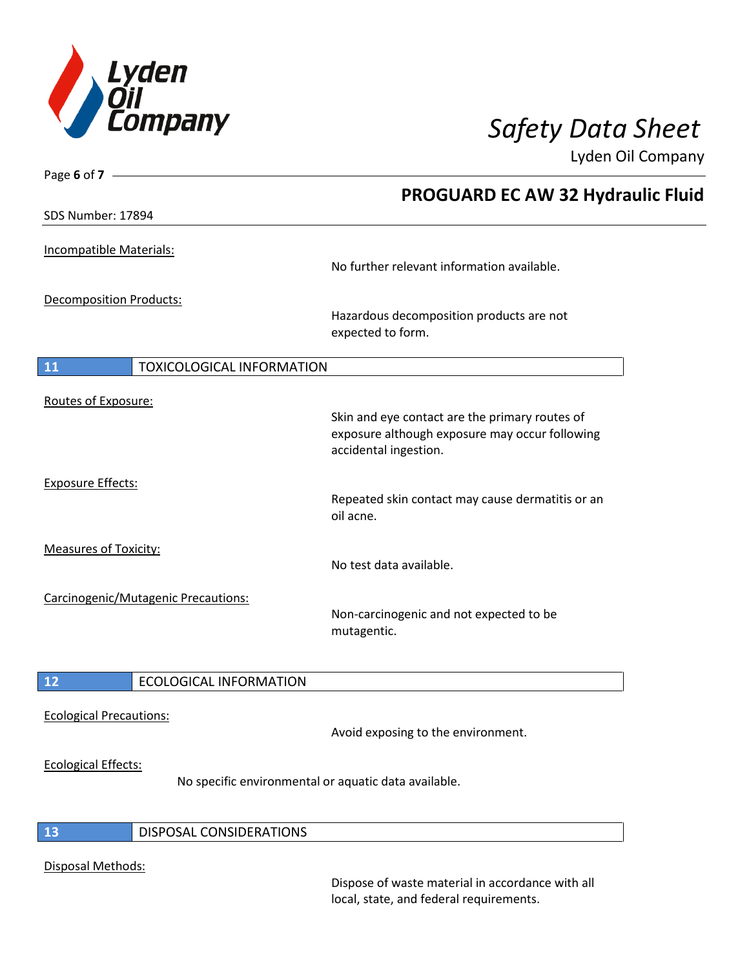

| Page 6 of $7 -$                             |                                                                         |
|---------------------------------------------|-------------------------------------------------------------------------|
|                                             | <b>PROGUARD EC AW 32 Hydraulic Fluid</b>                                |
| SDS Number: 17894                           |                                                                         |
| Incompatible Materials:                     |                                                                         |
|                                             | No further relevant information available.                              |
| <b>Decomposition Products:</b>              |                                                                         |
|                                             | Hazardous decomposition products are not<br>expected to form.           |
| <b>TOXICOLOGICAL INFORMATION</b><br>11      |                                                                         |
| Routes of Exposure:                         |                                                                         |
|                                             | Skin and eye contact are the primary routes of                          |
|                                             | exposure although exposure may occur following<br>accidental ingestion. |
| <b>Exposure Effects:</b>                    |                                                                         |
|                                             | Repeated skin contact may cause dermatitis or an<br>oil acne.           |
| <b>Measures of Toxicity:</b>                |                                                                         |
|                                             | No test data available.                                                 |
| Carcinogenic/Mutagenic Precautions:         |                                                                         |
|                                             | Non-carcinogenic and not expected to be<br>mutagentic.                  |
| 12<br><b>ECOLOGICAL INFORMATION</b>         |                                                                         |
| <b>Ecological Precautions:</b>              |                                                                         |
|                                             | Avoid exposing to the environment.                                      |
| <b>Ecological Effects:</b>                  |                                                                         |
|                                             | No specific environmental or aquatic data available.                    |
| <b>DISPOSAL CONSIDERATIONS</b><br><b>13</b> |                                                                         |
| Disposal Methods:                           |                                                                         |

Dispose of waste material in accordance with all local, state, and federal requirements.